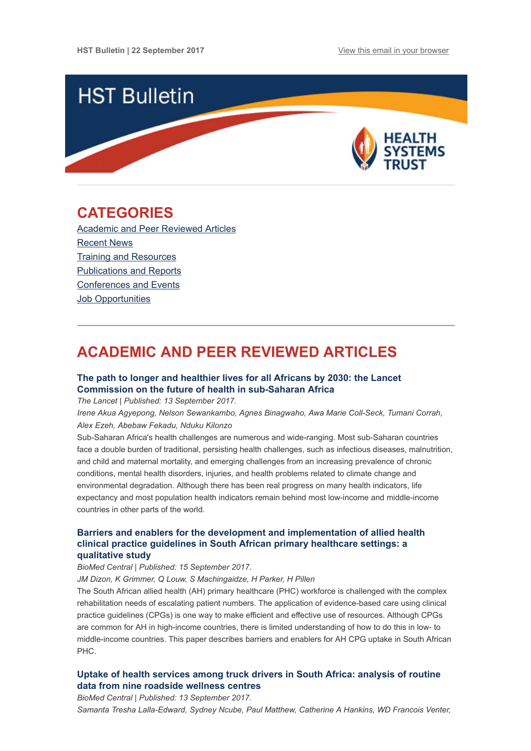

## <span id="page-0-1"></span>CATEGORIES

[Academic and Peer Reviewed Articles](#page-0-0) [Recent News](#page-2-0) [Training and Resources](#page-2-1) [Publications and Reports](#page-3-0) [Conferences and Events](#page-3-1) [Job Opportunities](#page-3-2)

# <span id="page-0-0"></span>ACADEMIC AND PEER REVIEWED ARTICLES

## [The path to longer and healthier lives for all Africans by 2030: the Lancet](http://www.thelancet.com/journals/lancet/article/PIIS0140-6736(17)31509-X/fulltext) Commission on the future of health in sub-Saharan Africa

The Lancet | Published: 13 September 2017.

Irene Akua Agyepong, Nelson Sewankambo, Agnes Binagwaho, Awa Marie Coll-Seck, Tumani Corrah, Alex Ezeh, Abebaw Fekadu, Nduku Kilonzo

Sub-Saharan Africa's health challenges are numerous and wide-ranging. Most sub-Saharan countries face a double burden of traditional, persisting health challenges, such as infectious diseases, malnutrition, and child and maternal mortality, and emerging challenges from an increasing prevalence of chronic conditions, mental health disorders, injuries, and health problems related to climate change and environmental degradation. Although there has been real progress on many health indicators, life expectancy and most population health indicators remain behind most low-income and middle-income countries in other parts of the world.

## [Barriers and enablers for the development and implementation of allied health](https://health-policy-systems.biomedcentral.com/articles/10.1186/s12961-017-0243-3) clinical practice guidelines in South African primary healthcare settings: a qualitative study

## BioMed Central | Published: 15 September 2017.

JM Dizon, K Grimmer, Q Louw, S Machingaidze, H Parker, H Pillen

The South African allied health (AH) primary healthcare (PHC) workforce is challenged with the complex rehabilitation needs of escalating patient numbers. The application of evidence-based care using clinical practice guidelines (CPGs) is one way to make efficient and effective use of resources. Although CPGs are common for AH in high-income countries, there is limited understanding of how to do this in low- to middle-income countries. This paper describes barriers and enablers for AH CPG uptake in South African PHC.

## [Uptake of health services among truck drivers in South Africa: analysis of routine](https://bmchealthservres.biomedcentral.com/articles/10.1186/s12913-017-2595-3) data from nine roadside wellness centres

BioMed Central | Published: 13 September 2017.

Samanta Tresha Lalla-Edward, Sydney Ncube, Paul Matthew, Catherine A Hankins, WD Francois Venter,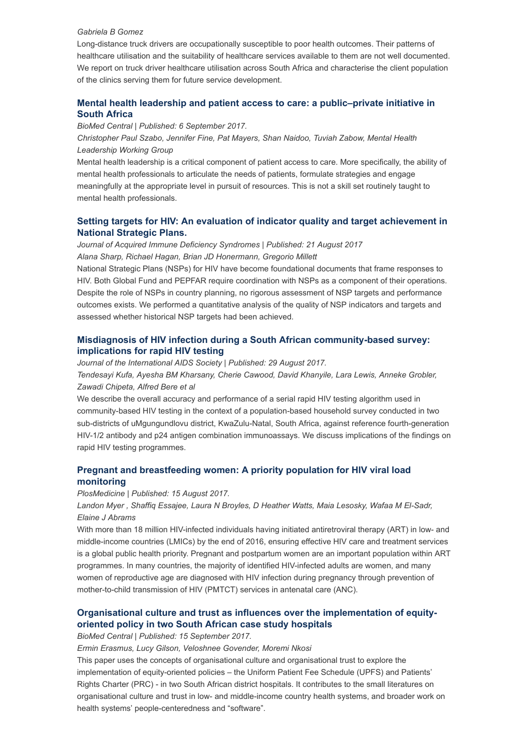#### Gabriela B Gomez

Long-distance truck drivers are occupationally susceptible to poor health outcomes. Their patterns of healthcare utilisation and the suitability of healthcare services available to them are not well documented. We report on truck driver healthcare utilisation across South Africa and characterise the client population of the clinics serving them for future service development.

## [Mental health leadership and patient access to care: a public–private initiative in](https://ijmhs.biomedcentral.com/articles/10.1186/s13033-017-0160-4) South Africa

BioMed Central | Published: 6 September 2017.

Christopher Paul Szabo, Jennifer Fine, Pat Mayers, Shan Naidoo, Tuviah Zabow, Mental Health Leadership Working Group

Mental health leadership is a critical component of patient access to care. More specifically, the ability of mental health professionals to articulate the needs of patients, formulate strategies and engage meaningfully at the appropriate level in pursuit of resources. This is not a skill set routinely taught to mental health professionals.

## [Setting targets for HIV: An evaluation of indicator quality and target achievement in](http://journals.lww.com/jaids/Abstract/publishahead/Setting_targets_for_HIV___An_evaluation_of.96862.aspx%20%C2%A0) National Strategic Plans.

Journal of Acquired Immune Deficiency Syndromes | Published: 21 August 2017 Alana Sharp, Richael Hagan, Brian JD Honermann, Gregorio Millett

National Strategic Plans (NSPs) for HIV have become foundational documents that frame responses to HIV. Both Global Fund and PEPFAR require coordination with NSPs as a component of their operations. Despite the role of NSPs in country planning, no rigorous assessment of NSP targets and performance outcomes exists. We performed a quantitative analysis of the quality of NSP indicators and targets and assessed whether historical NSP targets had been achieved.

## [Misdiagnosis of HIV infection during a South African community-based survey:](http://www.jiasociety.org/index.php/jias/article/view/21753/pdf) implications for rapid HIV testing

Journal of the International AIDS Society | Published: 29 August 2017.

Tendesayi Kufa, Ayesha BM Kharsany, Cherie Cawood, David Khanyile, Lara Lewis, Anneke Grobler, Zawadi Chipeta, Alfred Bere et al

We describe the overall accuracy and performance of a serial rapid HIV testing algorithm used in community-based HIV testing in the context of a population-based household survey conducted in two sub-districts of uMgungundlovu district, KwaZulu-Natal, South Africa, against reference fourth-generation HIV-1/2 antibody and p24 antigen combination immunoassays. We discuss implications of the findings on rapid HIV testing programmes.

## [Pregnant and breastfeeding women: A priority population for HIV viral load](http://journals.plos.org/plosmedicine/article?id=10.1371/journal.pmed.1002375) monitoring

PlosMedicine | Published: 15 August 2017.

Landon Myer , Shaffiq Essajee, Laura N Broyles, D Heather Watts, Maia Lesosky, Wafaa M El-Sadr, Elaine J Abrams

With more than 18 million HIV-infected individuals having initiated antiretroviral therapy (ART) in low- and middle-income countries (LMICs) by the end of 2016, ensuring effective HIV care and treatment services is a global public health priority. Pregnant and postpartum women are an important population within ART programmes. In many countries, the majority of identified HIV-infected adults are women, and many women of reproductive age are diagnosed with HIV infection during pregnancy through prevention of mother-to-child transmission of HIV (PMTCT) services in antenatal care (ANC).

## [Organisational culture and trust as influences over the implementation of equity](https://equityhealthj.biomedcentral.com/articles/10.1186/s12939-017-0659-y)oriented policy in two South African case study hospitals

BioMed Central | Published: 15 September 2017.

Ermin Erasmus, Lucy Gilson, Veloshnee Govender, Moremi Nkosi

This paper uses the concepts of organisational culture and organisational trust to explore the implementation of equity-oriented policies – the Uniform Patient Fee Schedule (UPFS) and Patients' Rights Charter (PRC) - in two South African district hospitals. It contributes to the small literatures on organisational culture and trust in low- and middle-income country health systems, and broader work on health systems' people-centeredness and "software".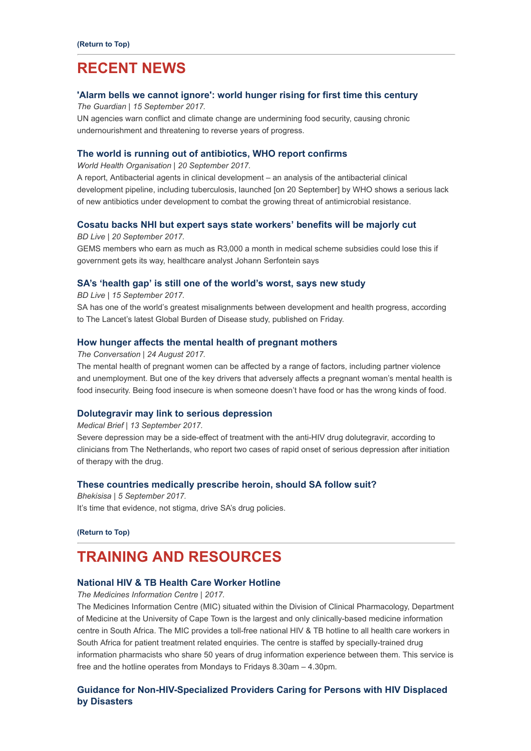## <span id="page-2-0"></span>RECENT NEWS

### ['Alarm bells we cannot ignore': world hunger rising for first time this century](https://www.theguardian.com/global-development/2017/sep/15/alarm-bells-we-cannot-ignore-world-hunger-rising-for-first-time-this-century?utm_source=Global+Health+NOW+Main+List&utm_campaign=12b4b85dee-EMAIL_CAMPAIGN_2017_09_15&utm_medium=email&utm_term=0_8d0d062dbd-12b4b85dee-2811001)

The Guardian | 15 September 2017.

UN agencies warn conflict and climate change are undermining food security, causing chronic undernourishment and threatening to reverse years of progress.

#### [The world is running out of antibiotics, WHO report confirms](http://www.who.int/mediacentre/news/releases/2017/running-out-antibiotics/en/)

World Health Organisation | 20 September 2017.

A report, Antibacterial agents in clinical development – an analysis of the antibacterial clinical development pipeline, including tuberculosis, launched [on 20 September] by WHO shows a serious lack of new antibiotics under development to combat the growing threat of antimicrobial resistance.

#### [Cosatu backs NHI but expert says state workers' benefits will be majorly cut](https://www.businesslive.co.za/bd/national/health/2017-09-13-a-10-cut-in-funding-could-mean-56-million-people-dead-from-aids-by-2030/)

BD Live | 20 September 2017.

GEMS members who earn as much as R3'000 a month in medical scheme subsidies could lose this if government gets its way, healthcare analyst Johann Serfontein says

#### [SA's 'health gap' is still one of the world's worst, says new study](https://www.businesslive.co.za/bd/national/health/2017-09-18-sas-health-gap-is-still-one-of-the-worlds-worst-says-new-study/)

BD Live | 15 September 2017.

SA has one of the world's greatest misalignments between development and health progress, according to The Lancet's latest Global Burden of Disease study, published on Friday.

#### [How hunger affects the mental health of pregnant mothers](https://theconversation.com/how-hunger-affects-the-mental-health-of-pregnant-mothers-82006)

The Conversation | 24 August 2017.

The mental health of pregnant women can be affected by a range of factors, including partner violence and unemployment. But one of the key drivers that adversely affects a pregnant woman's mental health is food insecurity. Being food insecure is when someone doesn't have food or has the wrong kinds of food.

#### [Dolutegravir may link to serious depression](https://www.medicalbrief.co.za/archives/dolutegravir-may-link-serious-depression/)

#### Medical Brief | 13 September 2017.

Severe depression may be a side-effect of treatment with the anti-HIV drug dolutegravir, according to clinicians from The Netherlands, who report two cases of rapid onset of serious depression after initiation of therapy with the drug.

#### [These countries medically prescribe heroin, should SA follow suit?](http://bhekisisa.org/article/2017-09-06-00-pride-and-prejudice-its-time-that-evidence-not-stigma-drive-sas-drug-policies)

Bhekisisa | 5 September 2017. It's time that evidence, not stigma, drive SA's drug policies.

#### [\(Return to Top\)](#page-0-1)

## <span id="page-2-1"></span>TRAINING AND RESOURCES

## [National HIV & TB Health Care Worker Hotline](https://www.facebook.com/SAHIVTBHotline/)

The Medicines Information Centre | 2017.

The Medicines Information Centre (MIC) situated within the Division of Clinical Pharmacology, Department of Medicine at the University of Cape Town is the largest and only clinically-based medicine information centre in South Africa. The MIC provides a toll-free national HIV & TB hotline to all health care workers in South Africa for patient treatment related enquiries. The centre is staffed by specially-trained drug information pharmacists who share 50 years of drug information experience between them. This service is free and the hotline operates from Mondays to Fridays 8.30am – 4.30pm.

## [Guidance for Non-HIV-Specialized Providers Caring for Persons with HIV Displaced](https://aidsinfo.nih.gov/guidelines/html/6/guidelines-on-care-for-hiv-infected-residents-displaced-from-disaster-areas/0/?utm_source=AIDSinfo&utm_medium=email&utm_campaign=9-1-17-Disaster_GLs) by Disasters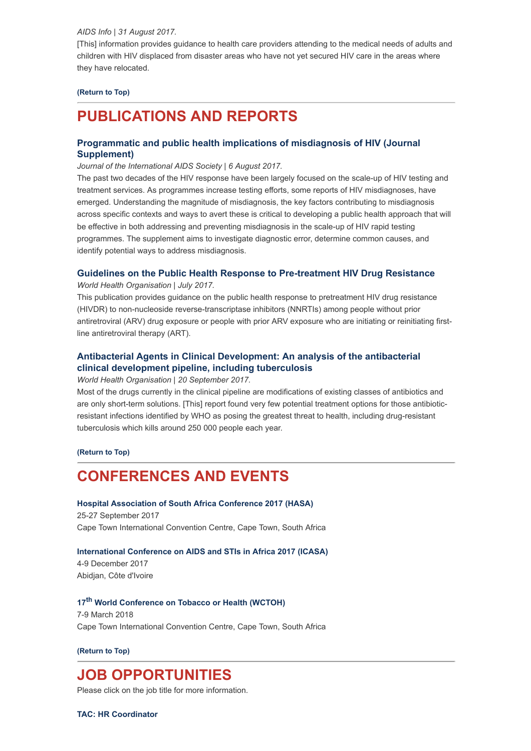#### AIDS Info | 31 August 2017.

[This] information provides guidance to health care providers attending to the medical needs of adults and children with HIV displaced from disaster areas who have not yet secured HIV care in the areas where they have relocated.

#### [\(Return to Top\)](#page-0-1)

# <span id="page-3-0"></span>PUBLICATIONS AND REPORTS

## [Programmatic and public health implications of misdiagnosis of HIV \(Journal](http://www.hst.org.za/publications/NonHST%20Publications/Programmatic%20and%20public%20health.pdf) Supplement)

#### Journal of the International AIDS Society | 6 August 2017.

The past two decades of the HIV response have been largely focused on the scale-up of HIV testing and treatment services. As programmes increase testing efforts, some reports of HIV misdiagnoses, have emerged. Understanding the magnitude of misdiagnosis, the key factors contributing to misdiagnosis across specific contexts and ways to avert these is critical to developing a public health approach that will be effective in both addressing and preventing misdiagnosis in the scale-up of HIV rapid testing programmes. The supplement aims to investigate diagnostic error, determine common causes, and identify potential ways to address misdiagnosis.

#### [Guidelines on the Public Health Response to Pre-treatment HIV Drug Resistance](http://www.hst.org.za/publications/NonHST%20Publications/The%20Public%20Health%20Response%20to%20Pretreatment%20HIV%20Drug%20Resistance.pdf)

World Health Organisation | July 2017.

This publication provides guidance on the public health response to pretreatment HIV drug resistance (HIVDR) to non-nucleoside reverse-transcriptase inhibitors (NNRTIs) among people without prior antiretroviral (ARV) drug exposure or people with prior ARV exposure who are initiating or reinitiating firstline antiretroviral therapy (ART).

## [Antibacterial Agents in Clinical Development: An analysis of the antibacterial](http://www.hst.org.za/publications/NonHST%20Publications/Antibacterial%20Agents%20in%20Clinical%20Development.pdf) clinical development pipeline, including tuberculosis

#### World Health Organisation | 20 September 2017.

Most of the drugs currently in the clinical pipeline are modifications of existing classes of antibiotics and are only short-term solutions. [This] report found very few potential treatment options for those antibioticresistant infections identified by WHO as posing the greatest threat to health, including drug-resistant tuberculosis which kills around 250 000 people each year.

#### [\(Return to Top\)](#page-0-1)

# <span id="page-3-1"></span>CONFERENCES AND EVENTS

### [Hospital Association of South Africa Conference 2017 \(HASA\)](http://www.conferencehasa.co.za/) 25-27 September 2017

Cape Town International Convention Centre, Cape Town, South Africa

### [International Conference on AIDS and STIs in Africa 2017 \(ICASA\)](http://icasa2017cotedivoire.org/)

4-9 December 2017 Abidjan, Côte d'Ivoire

## 17<sup>th</sup> [World Conference on Tobacco or Health \(WCTOH\)](https://www.wctoh.org/)

7-9 March 2018 Cape Town International Convention Centre, Cape Town, South Africa

#### [\(Return to Top\)](#page-0-1)

## <span id="page-3-2"></span>JOB OPPORTUNITIES

Please click on the job title for more information.

[TAC: HR Coordinator](http://www.ngopulse.org/opportunity/2017/09/15/hr-coordinator)